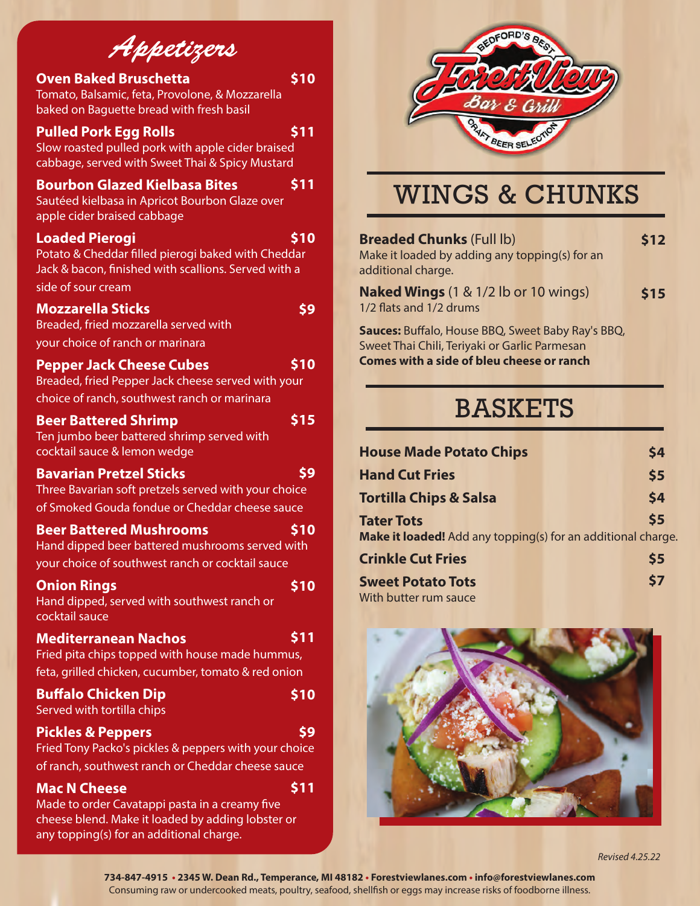# *Appetizers*

#### **Oven Baked Bruschetta**

Tomato, Balsamic, feta, Provolone, & Mozzarella baked on Baguette bread with fresh basil

#### **Pulled Pork Egg Rolls**

**\$11**

**\$10**

Slow roasted pulled pork with apple cider braised cabbage, served with Sweet Thai & Spicy Mustard

#### **Bourbon Glazed Kielbasa Bites \$11**

Sautéed kielbasa in Apricot Bourbon Glaze over apple cider braised cabbage

#### **Loaded Pierogi**

Potato & Cheddar filled pierogi baked with Cheddar Jack & bacon, finished with scallions. Served with a side of sour cream

#### **Mozzarella Sticks**

**\$9**

**\$10**

Breaded, fried mozzarella served with your choice of ranch or marinara

#### **Pepper Jack Cheese Cubes \$10**

Breaded, fried Pepper Jack cheese served with your choice of ranch, southwest ranch or marinara

#### **Beer Battered Shrimp**

Ten jumbo beer battered shrimp served with cocktail sauce & lemon wedge

#### **Bavarian Pretzel Sticks**

**\$9**

**\$10**

**\$11**

**\$15**

Three Bavarian soft pretzels served with your choice of Smoked Gouda fondue or Cheddar cheese sauce

#### **Beer Battered Mushrooms**

Hand dipped beer battered mushrooms served with your choice of southwest ranch or cocktail sauce

| <b>Onion Rings</b>                          | \$10 |
|---------------------------------------------|------|
| Hand dipped, served with southwest ranch or |      |
| cocktail sauce                              |      |
| <b>Mediterranean Nachos</b>                 | \$11 |

#### Fried pita chips topped with house made hummus, feta, grilled chicken, cucumber, tomato & red onion

| <b>Buffalo Chicken Dip</b>                            | \$10 |
|-------------------------------------------------------|------|
| Served with tortilla chips                            |      |
| <b>Pickles &amp; Peppers</b>                          | S9   |
| Fried Tony Packo's pickles & peppers with your choice |      |
| of ranch, southwest ranch or Cheddar cheese sauce     |      |

#### **Mac N Cheese**

Made to order Cavatappi pasta in a creamy five cheese blend. Make it loaded by adding lobster or any topping(s) for an additional charge.



# WINGS & CHUNKS

| <b>Breaded Chunks (Full lb)</b><br>Make it loaded by adding any topping(s) for an<br>additional charge.                                                | \$12 |
|--------------------------------------------------------------------------------------------------------------------------------------------------------|------|
| <b>Naked Wings</b> (1 & 1/2 lb or 10 wings)<br>1/2 flats and 1/2 drums                                                                                 | \$15 |
| Sauces: Buffalo, House BBQ, Sweet Baby Ray's BBQ,<br>Sweet Thai Chili, Teriyaki or Garlic Parmesan<br><b>Comes with a side of bleu cheese or ranch</b> |      |

# BASKETS

| <b>House Made Potato Chips</b>                               | \$4           |
|--------------------------------------------------------------|---------------|
| <b>Hand Cut Fries</b>                                        | \$5           |
| <b>Tortilla Chips &amp; Salsa</b>                            | \$4           |
| <b>Tater Tots</b>                                            | $\mathsf{S}5$ |
| Make it loaded! Add any topping(s) for an additional charge. |               |
| <b>Crinkle Cut Fries</b>                                     | \$5           |

| <b>Sweet Potato Tots</b> | \$7 |
|--------------------------|-----|
| With butter rum sauce    |     |



*Revised 4.25.22*

**734-847-4915 • 2345 W. Dean Rd., Temperance, MI 48182 • Forestviewlanes.com • info@forestviewlanes.com** Consuming raw or undercooked meats, poultry, seafood, shellfish or eggs may increase risks of foodborne illness.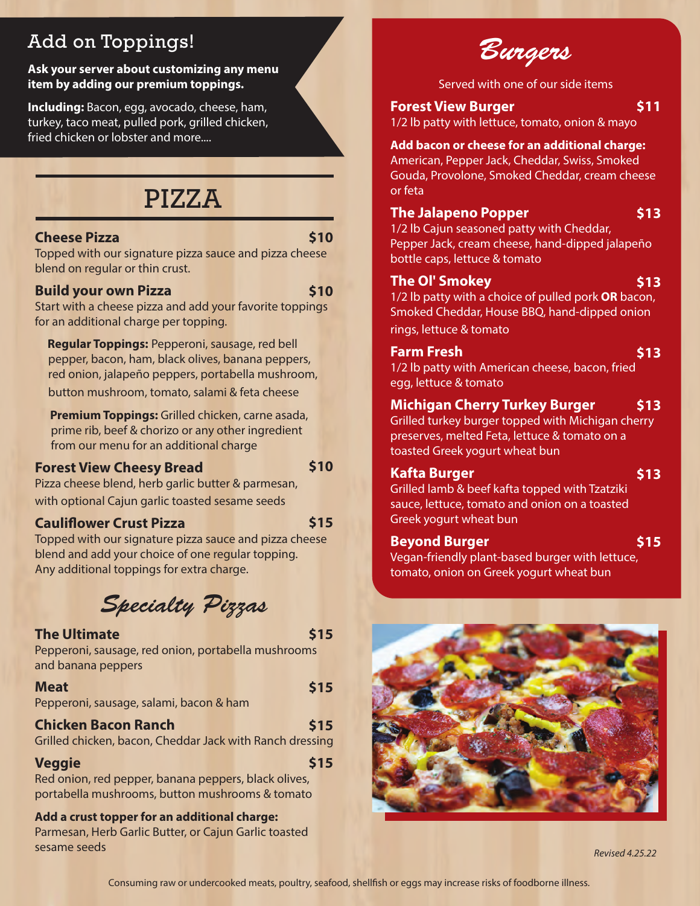## Add on Toppings!

#### **Ask your server about customizing any menu item by adding our premium toppings.**

**Including:** Bacon, egg, avocado, cheese, ham, turkey, taco meat, pulled pork, grilled chicken, fried chicken or lobster and more....

## PIZZA

#### **Cheese Pizza**

#### **\$10**

Topped with our signature pizza sauce and pizza cheese blend on regular or thin crust.

#### **Build your own Pizza**

**\$10**

Start with a cheese pizza and add your favorite toppings for an additional charge per topping.

 **Regular Toppings:** Pepperoni, sausage, red bell pepper, bacon, ham, black olives, banana peppers, red onion, jalapeño peppers, portabella mushroom, button mushroom, tomato, salami & feta cheese

 **Premium Toppings:** Grilled chicken, carne asada, prime rib, beef & chorizo or any other ingredient from our menu for an additional charge

#### **Forest View Cheesy Bread**

**\$10**

**\$15**

Pizza cheese blend, herb garlic butter & parmesan, with optional Cajun garlic toasted sesame seeds

#### **Cauliower Crust Pizza**

Topped with our signature pizza sauce and pizza cheese blend and add your choice of one regular topping. Any additional toppings for extra charge.

*Specialty Pizzas*

#### **The Ultimate**

**\$15**

Pepperoni, sausage, red onion, portabella mushrooms and banana peppers

#### **Meat**

Pepperoni, sausage, salami, bacon & ham

#### **Chicken Bacon Ranch**

Grilled chicken, bacon, Cheddar Jack with Ranch dressing

#### **Veggie**

Red onion, red pepper, banana peppers, black olives, portabella mushrooms, button mushrooms & tomato

**Add a crust topper for an additional charge:**  Parmesan, Herb Garlic Butter, or Cajun Garlic toasted sesame seeds

*Burgers*

Served with one of our side items

#### **Forest View Burger**

1/2 lb patty with lettuce, tomato, onion & mayo

#### **Add bacon or cheese for an additional charge:**

American, Pepper Jack, Cheddar, Swiss, Smoked Gouda, Provolone, Smoked Cheddar, cream cheese or feta

#### **The Jalapeno Popper**

**\$13**

**\$13**

**\$11**

1/2 lb Cajun seasoned patty with Cheddar, Pepper Jack, cream cheese, hand-dipped jalapeño bottle caps, lettuce & tomato

#### **The Ol' Smokey**

1/2 lb patty with a choice of pulled pork **OR** bacon, Smoked Cheddar, House BBQ, hand-dipped onion

rings, lettuce & tomato

#### **Farm Fresh \$13**

1/2 lb patty with American cheese, bacon, fried egg, lettuce & tomato

#### **Michigan Cherry Turkey Burger \$13**

Grilled turkey burger topped with Michigan cherry preserves, melted Feta, lettuce & tomato on a toasted Greek yogurt wheat bun

#### **Kafta Burger**

**\$13**

Grilled lamb & beef kafta topped with Tzatziki sauce, lettuce, tomato and onion on a toasted Greek yogurt wheat bun

#### **Beyond Burger**

Vegan-friendly plant-based burger with lettuce, tomato, onion on Greek yogurt wheat bun **\$15**



**\$15**

**\$15**

**\$15**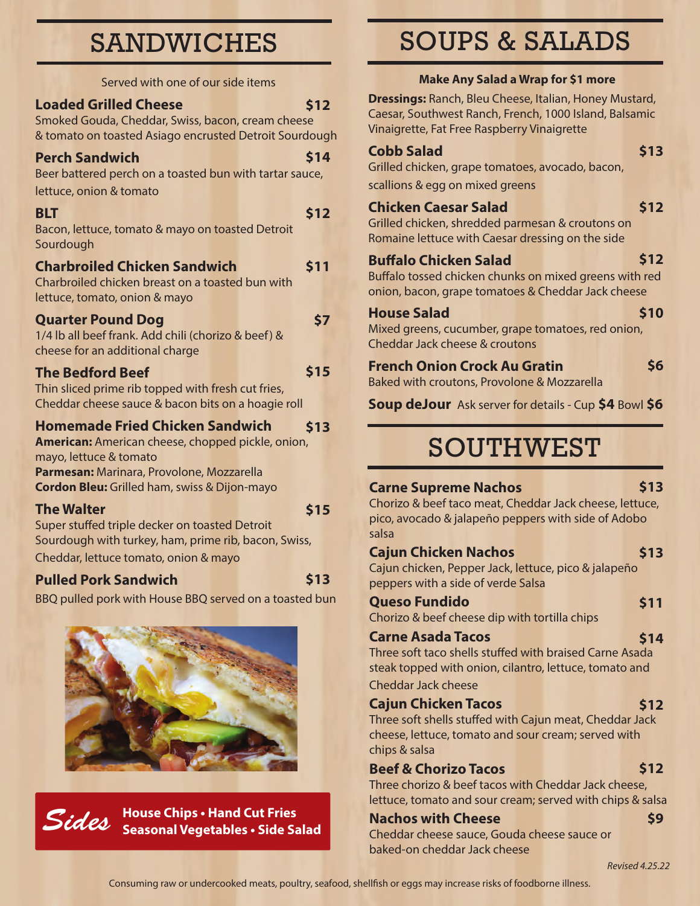# SANDWICHES

|                              | Served with one of our side items |  |
|------------------------------|-----------------------------------|--|
| <b>Loaded Grilled Cheese</b> |                                   |  |

Smoked Gouda, Cheddar, Swiss, bacon, cream cheese & tomato on toasted Asiago encrusted Detroit Sourdough

#### **Perch Sandwich**

Beer battered perch on a toasted bun with tartar sauce, lettuce, onion & tomato

## **BLT**

Bacon, lettuce, tomato & mayo on toasted Detroit Sourdough

#### **Charbroiled Chicken Sandwich \$11**

#### Charbroiled chicken breast on a toasted bun with lettuce, tomato, onion & mayo

#### **Quarter Pound Dog**

1/4 lb all beef frank. Add chili (chorizo & beef) & cheese for an additional charge

#### **The Bedford Beef**

Thin sliced prime rib topped with fresh cut fries, Cheddar cheese sauce & bacon bits on a hoagie roll

#### **Homemade Fried Chicken Sandwich \$13**

**American:** American cheese, chopped pickle, onion, mayo, lettuce & tomato **Parmesan:** Marinara, Provolone, Mozzarella **Cordon Bleu:** Grilled ham, swiss & Dijon-mayo

#### **The Walter**

**\$15**

**\$13**

**\$12**

**\$14**

**\$12**

**\$7**

**\$15**

Super stuffed triple decker on toasted Detroit Sourdough with turkey, ham, prime rib, bacon, Swiss, Cheddar, lettuce tomato, onion & mayo

## **Pulled Pork Sandwich**

BBQ pulled pork with House BBQ served on a toasted bun



*Sides* **House Chips • Hand Cut Fries Seasonal Vegetables • Side Salad**

# SOUPS & SALADS

## **Make Any Salad a Wrap for \$1 more**

**Dressings:** Ranch, Bleu Cheese, Italian, Honey Mustard, Caesar, Southwest Ranch, French, 1000 Island, Balsamic Vinaigrette, Fat Free Raspberry Vinaigrette

#### **Cobb Salad**

Grilled chicken, grape tomatoes, avocado, bacon,

scallions & egg on mixed greens

## **Chicken Caesar Salad**

Grilled chicken, shredded parmesan & croutons on Romaine lettuce with Caesar dressing on the side

## **Buffalo Chicken Salad**

Buffalo tossed chicken chunks on mixed greens with red onion, bacon, grape tomatoes & Cheddar Jack cheese

#### **House Salad**

**\$10**

**\$6**

**\$13**

**\$12**

**\$12**

Mixed greens, cucumber, grape tomatoes, red onion, Cheddar Jack cheese & croutons

#### **French Onion Crock Au Gratin**

Baked with croutons, Provolone & Mozzarella

**Soup deJour** Ask server for details - Cup **\$4** Bowl **\$6** 

# SOUTHWEST

## **Carne Supreme Nachos**

**\$13**

Chorizo & beef taco meat, Cheddar Jack cheese, lettuce, pico, avocado & jalapeño peppers with side of Adobo salsa

#### **Cajun Chicken Nachos \$13**

Cajun chicken, Pepper Jack, lettuce, pico & jalapeño peppers with a side of verde Salsa

**Queso Fundido**  Chorizo & beef cheese dip with tortilla chips

# **\$11**

**\$12**

**\$12**

**\$9**

**Carne Asada Tacos**  Three soft taco shells stuffed with braised Carne Asada steak topped with onion, cilantro, lettuce, tomato and **\$14**

#### Cheddar Jack cheese

## **Cajun Chicken Tacos**

Three soft shells stuffed with Cajun meat, Cheddar Jack cheese, lettuce, tomato and sour cream; served with chips & salsa

#### **Beef & Chorizo Tacos**

Three chorizo & beef tacos with Cheddar Jack cheese, lettuce, tomato and sour cream; served with chips & salsa

#### **Nachos with Cheese**

Cheddar cheese sauce, Gouda cheese sauce or baked-on cheddar Jack cheese